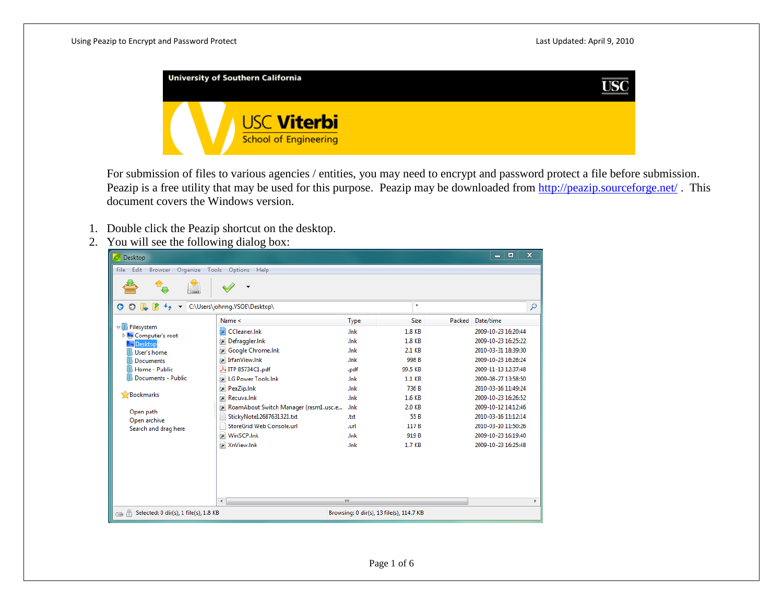

For submission of files to various agencies / entities, you may need to encrypt and password protect a file before submission. Peazip is a free utility that may be used for this purpose. Peazip may be downloaded from<http://peazip.sourceforge.net/> . This document covers the Windows version.

- 1. Double click the Peazip shortcut on the desktop.
- 2. You will see the following dialog box:

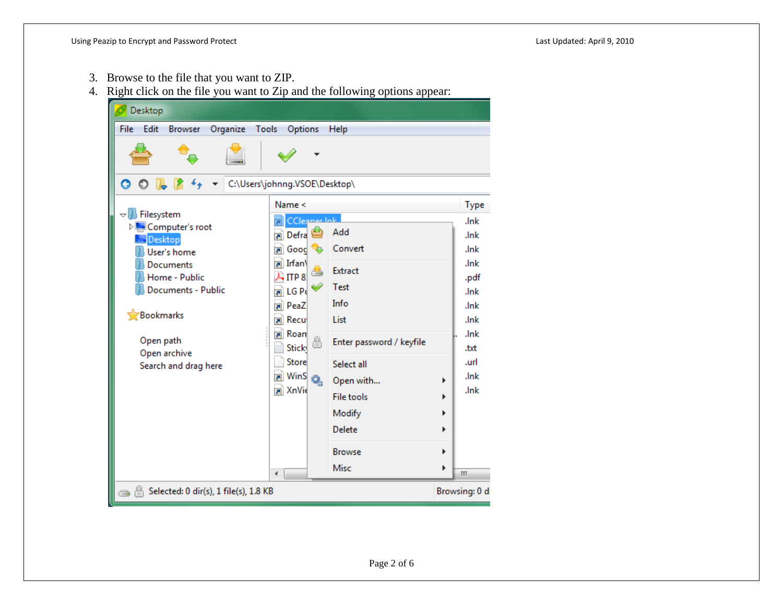- 3. Browse to the file that you want to ZIP.
- 4. Right click on the file you want to Zip and the following options appear:

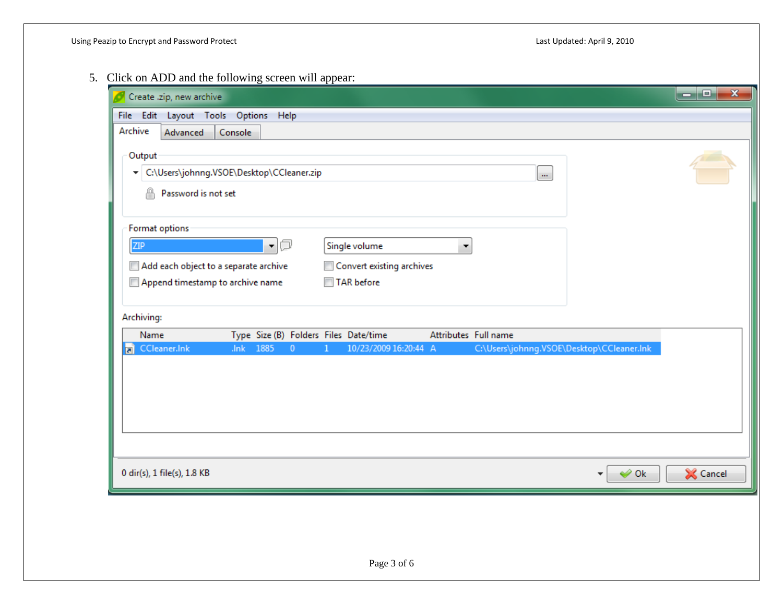5. Click on ADD and the following screen will appear:

| Create .zip, new archive                                                                                  |                                                                       |                                                                 |                      |                    |                                           | ا ہے ا<br>$\mathbf{x}$ |
|-----------------------------------------------------------------------------------------------------------|-----------------------------------------------------------------------|-----------------------------------------------------------------|----------------------|--------------------|-------------------------------------------|------------------------|
| File Edit                                                                                                 | Layout Tools Options Help                                             |                                                                 |                      |                    |                                           |                        |
| Archive<br>Advanced                                                                                       | Console                                                               |                                                                 |                      |                    |                                           |                        |
| Output<br>⊕<br>Password is not set                                                                        | ▼ C:\Users\johnng.VSOE\Desktop\CCleaner.zip                           |                                                                 |                      | $\dot{\mathbf{m}}$ |                                           |                        |
| Format options<br><b>ZIP</b><br>Add each object to a separate archive<br>Append timestamp to archive name | O<br>$\overline{\phantom{a}}$                                         | Single volume<br>Convert existing archives<br><b>TAR</b> before | ۰                    |                    |                                           |                        |
| Archiving:                                                                                                |                                                                       |                                                                 |                      |                    |                                           |                        |
| Name<br>CCleaner.Ink                                                                                      | Type Size (B) Folders Files Date/time<br>1885<br>.Ink<br>$\mathbf{0}$ | 10/23/2009 16:20:44 A<br>1                                      | Attributes Full name |                    | C:\Users\johnng.VSOE\Desktop\CCleaner.Ink |                        |
|                                                                                                           |                                                                       |                                                                 |                      |                    |                                           |                        |
| 0 dir(s), 1 file(s), 1.8 KB                                                                               |                                                                       |                                                                 |                      |                    | $\blacktriangleright$ Ok                  | Cancel                 |
|                                                                                                           |                                                                       |                                                                 |                      |                    |                                           |                        |
|                                                                                                           |                                                                       | Page 3 of 6                                                     |                      |                    |                                           |                        |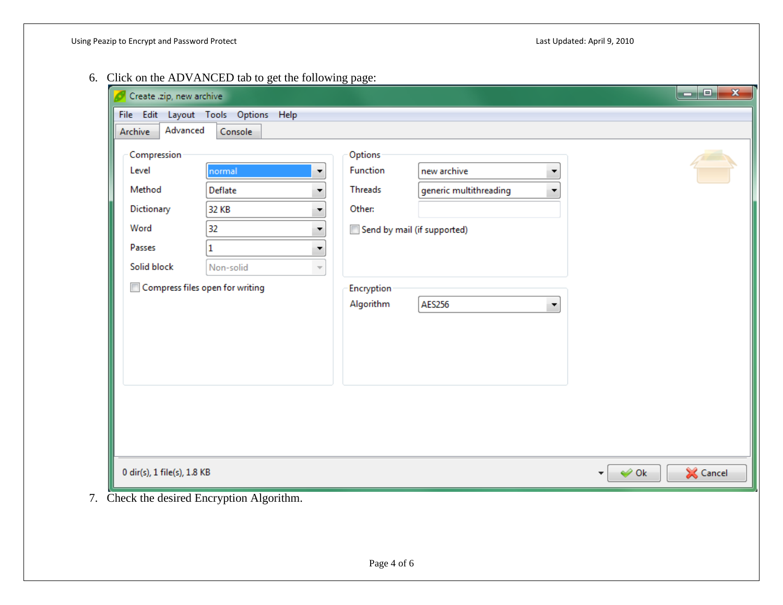6. Click on the ADVANCED tab to get the following page:

| Archive     | Advanced<br>Console                   |            |                             |                                     |
|-------------|---------------------------------------|------------|-----------------------------|-------------------------------------|
| Compression |                                       | Options    |                             |                                     |
| Level       | normal<br>۰                           | Function   | new archive<br>▼            |                                     |
| Method      | Deflate                               | Threads    | generic multithreading<br>▼ |                                     |
| Dictionary  | 32 KB                                 | Other:     |                             |                                     |
| Word        | 32<br>▼                               |            | Send by mail (if supported) |                                     |
| Passes      | 1<br>▼                                |            |                             |                                     |
| Solid block | Non-solid<br>$\overline{\phantom{a}}$ |            |                             |                                     |
|             | Compress files open for writing       | Encryption |                             |                                     |
|             |                                       | Algorithm  | <b>AES256</b><br>۰          |                                     |
|             |                                       |            |                             |                                     |
|             |                                       |            |                             |                                     |
|             |                                       |            |                             |                                     |
|             |                                       |            |                             |                                     |
|             |                                       |            |                             |                                     |
|             |                                       |            |                             |                                     |
|             |                                       |            |                             |                                     |
|             |                                       |            |                             |                                     |
|             |                                       |            |                             |                                     |
|             |                                       |            |                             |                                     |
|             | 0 dir(s), 1 file(s), 1.8 KB           |            |                             | $\leftrightarrow$ Ok<br>Cancel<br>▼ |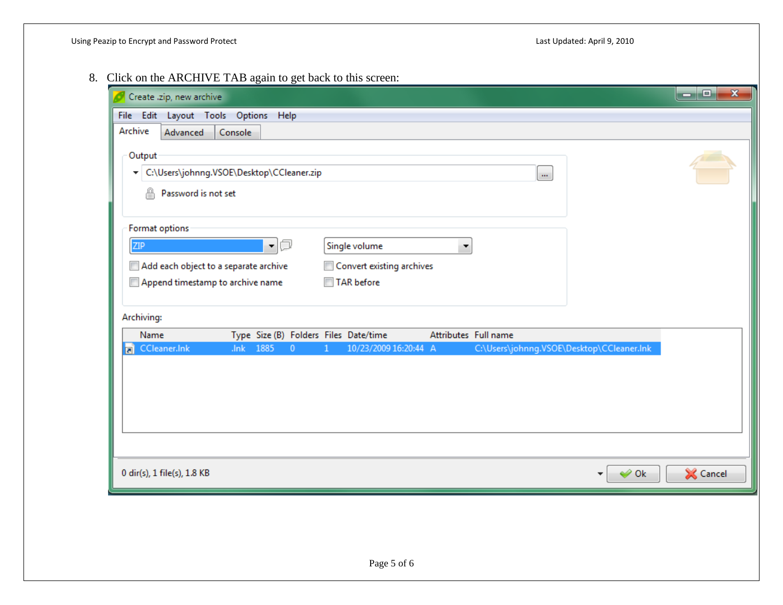8. Click on the ARCHIVE TAB again to get back to this screen:

| Create .zip, new archive<br>File Edit<br>Archive                                                          | Layout Tools Options Help                                             |                                                                           |                      |                                           |                          | ا کا دا<br>$\mathbf{x}$ |
|-----------------------------------------------------------------------------------------------------------|-----------------------------------------------------------------------|---------------------------------------------------------------------------|----------------------|-------------------------------------------|--------------------------|-------------------------|
| Advanced<br>Output<br>⊕<br>Password is not set                                                            | Console<br>▼ C:\Users\johnng.VSOE\Desktop\CCleaner.zip                |                                                                           |                      | $\dot{\mathbf{m}}$                        |                          |                         |
| Format options<br><b>ZIP</b><br>Add each object to a separate archive<br>Append timestamp to archive name | a<br>▼.                                                               | Single volume<br>Convert existing archives<br>$\Box$<br><b>TAR</b> before | ۰                    |                                           |                          |                         |
| Archiving:<br>Name<br>CCleaner.Ink                                                                        | Type Size (B) Folders Files Date/time<br>.Ink<br>1885<br>$\mathbf{0}$ | 10/23/2009 16:20:44 A<br>1                                                | Attributes Full name | C:\Users\johnng.VSOE\Desktop\CCleaner.Ink |                          |                         |
| 0 dir(s), 1 file(s), 1.8 KB                                                                               |                                                                       |                                                                           |                      |                                           | $\blacktriangleright$ Ok | Cancel                  |
|                                                                                                           |                                                                       | Page 5 of 6                                                               |                      |                                           |                          |                         |